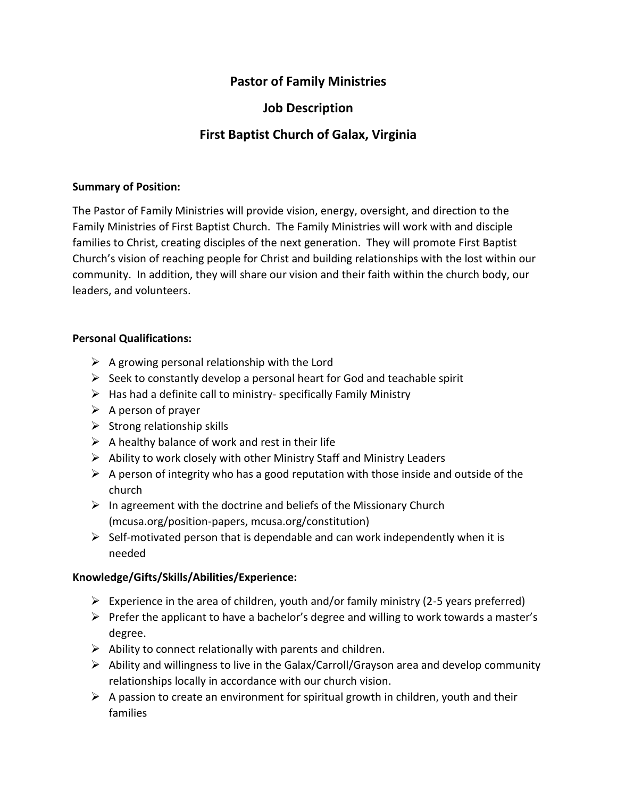# **Pastor of Family Ministries**

# **Job Description**

# **First Baptist Church of Galax, Virginia**

### **Summary of Position:**

The Pastor of Family Ministries will provide vision, energy, oversight, and direction to the Family Ministries of First Baptist Church. The Family Ministries will work with and disciple families to Christ, creating disciples of the next generation. They will promote First Baptist Church's vision of reaching people for Christ and building relationships with the lost within our community. In addition, they will share our vision and their faith within the church body, our leaders, and volunteers.

# **Personal Qualifications:**

- $\triangleright$  A growing personal relationship with the Lord
- $\triangleright$  Seek to constantly develop a personal heart for God and teachable spirit
- $\triangleright$  Has had a definite call to ministry- specifically Family Ministry
- $\triangleright$  A person of prayer
- $\triangleright$  Strong relationship skills
- $\triangleright$  A healthy balance of work and rest in their life
- $\triangleright$  Ability to work closely with other Ministry Staff and Ministry Leaders
- $\triangleright$  A person of integrity who has a good reputation with those inside and outside of the church
- $\triangleright$  In agreement with the doctrine and beliefs of the Missionary Church (mcusa.org/position-papers, mcusa.org/constitution)
- $\triangleright$  Self-motivated person that is dependable and can work independently when it is needed

# **Knowledge/Gifts/Skills/Abilities/Experience:**

- $\triangleright$  Experience in the area of children, youth and/or family ministry (2-5 years preferred)
- ➢ Prefer the applicant to have a bachelor's degree and willing to work towards a master's degree.
- $\triangleright$  Ability to connect relationally with parents and children.
- ➢ Ability and willingness to live in the Galax/Carroll/Grayson area and develop community relationships locally in accordance with our church vision.
- $\triangleright$  A passion to create an environment for spiritual growth in children, youth and their families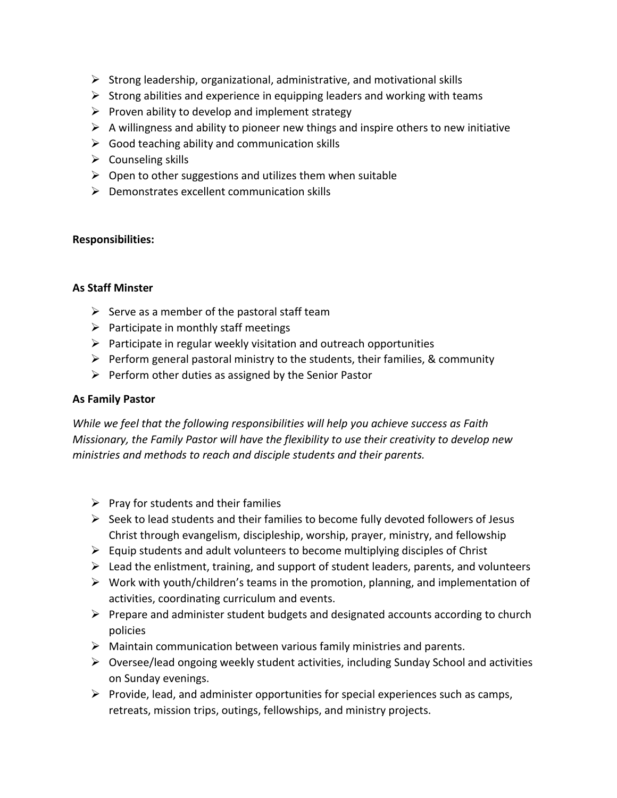- $\triangleright$  Strong leadership, organizational, administrative, and motivational skills
- $\triangleright$  Strong abilities and experience in equipping leaders and working with teams
- $\triangleright$  Proven ability to develop and implement strategy
- $\triangleright$  A willingness and ability to pioneer new things and inspire others to new initiative
- $\triangleright$  Good teaching ability and communication skills
- $\triangleright$  Counseling skills
- $\triangleright$  Open to other suggestions and utilizes them when suitable
- $\triangleright$  Demonstrates excellent communication skills

### **Responsibilities:**

### **As Staff Minster**

- $\triangleright$  Serve as a member of the pastoral staff team
- $\triangleright$  Participate in monthly staff meetings
- $\triangleright$  Participate in regular weekly visitation and outreach opportunities
- $\triangleright$  Perform general pastoral ministry to the students, their families, & community
- $\triangleright$  Perform other duties as assigned by the Senior Pastor

## **As Family Pastor**

*While we feel that the following responsibilities will help you achieve success as Faith Missionary, the Family Pastor will have the flexibility to use their creativity to develop new ministries and methods to reach and disciple students and their parents.*

- $\triangleright$  Pray for students and their families
- ➢ Seek to lead students and their families to become fully devoted followers of Jesus Christ through evangelism, discipleship, worship, prayer, ministry, and fellowship
- $\triangleright$  Equip students and adult volunteers to become multiplying disciples of Christ
- $\triangleright$  Lead the enlistment, training, and support of student leaders, parents, and volunteers
- $\triangleright$  Work with youth/children's teams in the promotion, planning, and implementation of activities, coordinating curriculum and events.
- $\triangleright$  Prepare and administer student budgets and designated accounts according to church policies
- $\triangleright$  Maintain communication between various family ministries and parents.
- $\triangleright$  Oversee/lead ongoing weekly student activities, including Sunday School and activities on Sunday evenings.
- $\triangleright$  Provide, lead, and administer opportunities for special experiences such as camps, retreats, mission trips, outings, fellowships, and ministry projects.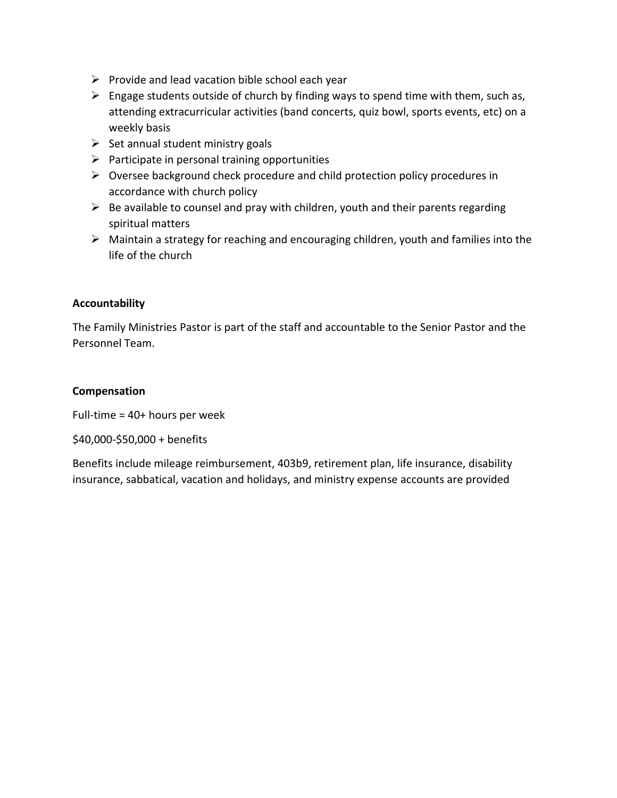- $\triangleright$  Provide and lead vacation bible school each year
- $\triangleright$  Engage students outside of church by finding ways to spend time with them, such as, attending extracurricular activities (band concerts, quiz bowl, sports events, etc) on a weekly basis
- $\triangleright$  Set annual student ministry goals
- $\triangleright$  Participate in personal training opportunities
- ➢ Oversee background check procedure and child protection policy procedures in accordance with church policy
- $\triangleright$  Be available to counsel and pray with children, youth and their parents regarding spiritual matters
- $\triangleright$  Maintain a strategy for reaching and encouraging children, youth and families into the life of the church

# **Accountability**

The Family Ministries Pastor is part of the staff and accountable to the Senior Pastor and the Personnel Team.

# **Compensation**

Full-time = 40+ hours per week

\$40,000-\$50,000 + benefits

Benefits include mileage reimbursement, 403b9, retirement plan, life insurance, disability insurance, sabbatical, vacation and holidays, and ministry expense accounts are provided